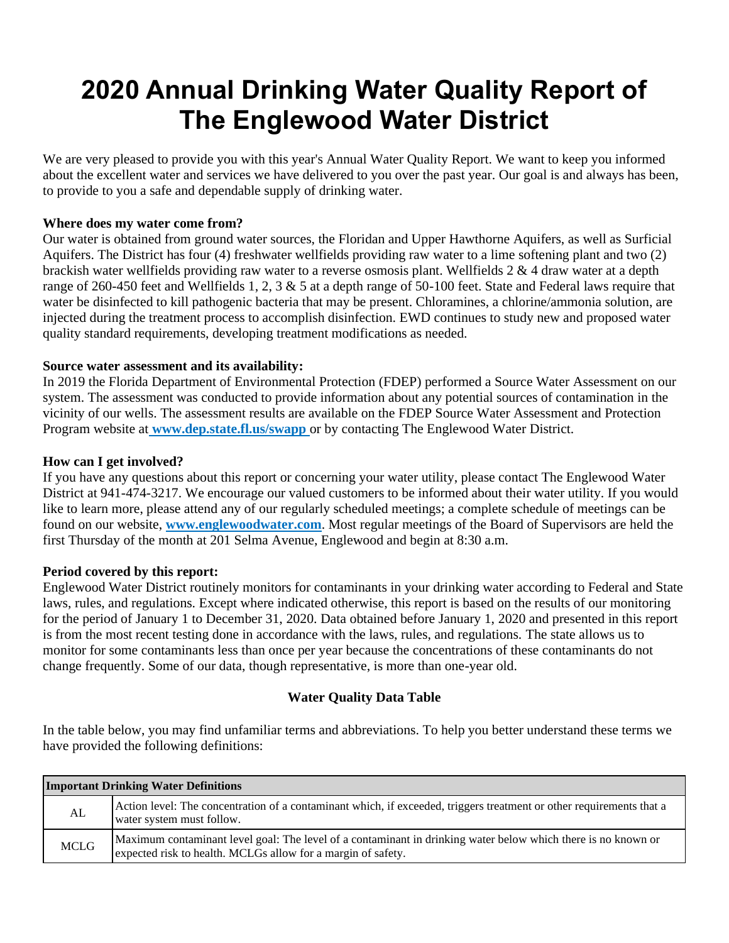# **2020 Annual Drinking Water Quality Report of The Englewood Water District**

We are very pleased to provide you with this year's Annual Water Quality Report. We want to keep you informed about the excellent water and services we have delivered to you over the past year. Our goal is and always has been, to provide to you a safe and dependable supply of drinking water.

#### **Where does my water come from?**

Our water is obtained from ground water sources, the Floridan and Upper Hawthorne Aquifers, as well as Surficial Aquifers. The District has four (4) freshwater wellfields providing raw water to a lime softening plant and two (2) brackish water wellfields providing raw water to a reverse osmosis plant. Wellfields  $2 \& 4$  draw water at a depth range of 260-450 feet and Wellfields 1, 2, 3 & 5 at a depth range of 50-100 feet. State and Federal laws require that water be disinfected to kill pathogenic bacteria that may be present. Chloramines, a chlorine/ammonia solution, are injected during the treatment process to accomplish disinfection. EWD continues to study new and proposed water quality standard requirements, developing treatment modifications as needed.

## **Source water assessment and its availability:**

In 2019 the Florida Department of Environmental Protection (FDEP) performed a Source Water Assessment on our system. The assessment was conducted to provide information about any potential sources of contamination in the vicinity of our wells. The assessment results are available on the FDEP Source Water Assessment and Protection Program website at **www.dep.state.fl.us/swapp** or by contacting The Englewood Water District.

## **How can I get involved?**

If you have any questions about this report or concerning your water utility, please contact The Englewood Water District at 941-474-3217. We encourage our valued customers to be informed about their water utility. If you would like to learn more, please attend any of our regularly scheduled meetings; a complete schedule of meetings can be found on our website, **www.englewoodwater.com**. Most regular meetings of the Board of Supervisors are held the first Thursday of the month at 201 Selma Avenue, Englewood and begin at 8:30 a.m.

#### **Period covered by this report:**

Englewood Water District routinely monitors for contaminants in your drinking water according to Federal and State laws, rules, and regulations. Except where indicated otherwise, this report is based on the results of our monitoring for the period of January 1 to December 31, 2020. Data obtained before January 1, 2020 and presented in this report is from the most recent testing done in accordance with the laws, rules, and regulations. The state allows us to monitor for some contaminants less than once per year because the concentrations of these contaminants do not change frequently. Some of our data, though representative, is more than one-year old.

# **Water Quality Data Table**

In the table below, you may find unfamiliar terms and abbreviations. To help you better understand these terms we have provided the following definitions:

| <b>Important Drinking Water Definitions</b> |                                                                                                                                                                               |  |  |  |  |  |  |
|---------------------------------------------|-------------------------------------------------------------------------------------------------------------------------------------------------------------------------------|--|--|--|--|--|--|
| AL                                          | Action level: The concentration of a contaminant which, if exceeded, triggers treatment or other requirements that a<br>water system must follow.                             |  |  |  |  |  |  |
| <b>MCLG</b>                                 | Maximum contaminant level goal: The level of a contaminant in drinking water below which there is no known or<br>expected risk to health. MCLGs allow for a margin of safety. |  |  |  |  |  |  |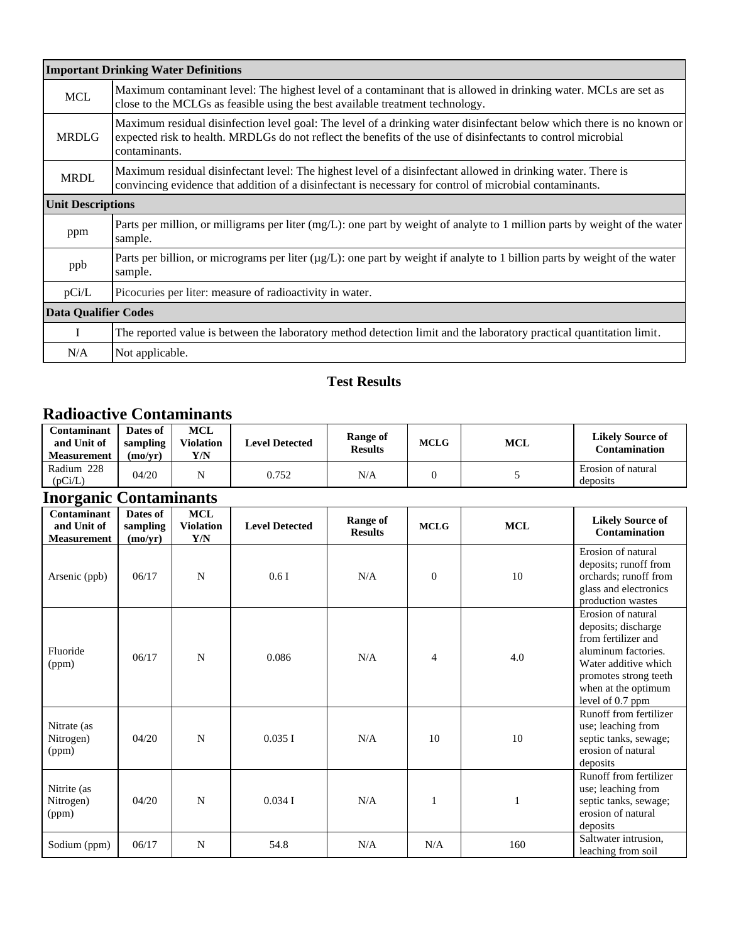|                             | <b>Important Drinking Water Definitions</b>                                                                                                                                                                                                            |
|-----------------------------|--------------------------------------------------------------------------------------------------------------------------------------------------------------------------------------------------------------------------------------------------------|
| <b>MCL</b>                  | Maximum contaminant level: The highest level of a contaminant that is allowed in drinking water. MCLs are set as<br>close to the MCLGs as feasible using the best available treatment technology.                                                      |
| <b>MRDLG</b>                | Maximum residual disinfection level goal: The level of a drinking water disinfectant below which there is no known or<br>expected risk to health. MRDLGs do not reflect the benefits of the use of disinfectants to control microbial<br>contaminants. |
| <b>MRDL</b>                 | Maximum residual disinfectant level: The highest level of a disinfectant allowed in drinking water. There is<br>convincing evidence that addition of a disinfectant is necessary for control of microbial contaminants.                                |
| <b>Unit Descriptions</b>    |                                                                                                                                                                                                                                                        |
| ppm                         | Parts per million, or milligrams per liter (mg/L): one part by weight of analyte to 1 million parts by weight of the water<br>sample.                                                                                                                  |
| ppb                         | Parts per billion, or micrograms per liter ( $\mu g/L$ ): one part by weight if analyte to 1 billion parts by weight of the water<br>sample.                                                                                                           |
| pCi/L                       | Picocuries per liter: measure of radioactivity in water.                                                                                                                                                                                               |
| <b>Data Qualifier Codes</b> |                                                                                                                                                                                                                                                        |
| L                           | The reported value is between the laboratory method detection limit and the laboratory practical quantitation limit.                                                                                                                                   |
| N/A                         | Not applicable.                                                                                                                                                                                                                                        |

# **Test Results**

# **Radioactive Contaminants**

| Contaminant<br>and Unit of<br><b>Measurement</b> | Dates of<br>sampling<br>(mo/vr) | <b>MCL</b><br><b>Violation</b><br>Y/N | <b>Level Detected</b> | Range of<br><b>Results</b> | <b>MCLG</b> | <b>MCL</b> | <b>Likely Source of</b><br><b>Contamination</b> |
|--------------------------------------------------|---------------------------------|---------------------------------------|-----------------------|----------------------------|-------------|------------|-------------------------------------------------|
| Radium 228<br>(pCi/L)                            | 04/20                           | N                                     | 0.752                 | N/A                        |             |            | Erosion of natural<br>deposits                  |

# **Inorganic Contaminants**

| Ō<br>Contaminant<br>and Unit of<br><b>Measurement</b> | Dates of<br>sampling<br>(mo/yr) | <b>MCL</b><br><b>Violation</b><br>Y/N | <b>Level Detected</b> | <b>Range of</b><br><b>Results</b> | <b>MCLG</b>    | <b>MCL</b> | <b>Likely Source of</b><br>Contamination                                                                                                                                            |
|-------------------------------------------------------|---------------------------------|---------------------------------------|-----------------------|-----------------------------------|----------------|------------|-------------------------------------------------------------------------------------------------------------------------------------------------------------------------------------|
| Arsenic (ppb)                                         | 06/17                           | N                                     | 0.6I                  | N/A                               | $\mathbf{0}$   | 10         | Erosion of natural<br>deposits; runoff from<br>orchards; runoff from<br>glass and electronics<br>production wastes                                                                  |
| Fluoride<br>(ppm)                                     | 06/17                           | N                                     | 0.086                 | N/A                               | $\overline{4}$ | 4.0        | Erosion of natural<br>deposits; discharge<br>from fertilizer and<br>aluminum factories.<br>Water additive which<br>promotes strong teeth<br>when at the optimum<br>level of 0.7 ppm |
| Nitrate (as<br>Nitrogen)<br>(ppm)                     | 04/20                           | N                                     | 0.035I                | N/A                               | 10             | 10         | Runoff from fertilizer<br>use; leaching from<br>septic tanks, sewage;<br>erosion of natural<br>deposits                                                                             |
| Nitrite (as<br>Nitrogen)<br>(ppm)                     | 04/20                           | N                                     | 0.034I                | N/A                               |                |            | Runoff from fertilizer<br>use; leaching from<br>septic tanks, sewage;<br>erosion of natural<br>deposits                                                                             |
| Sodium (ppm)                                          | 06/17                           | N                                     | 54.8                  | N/A                               | N/A            | 160        | Saltwater intrusion,<br>leaching from soil                                                                                                                                          |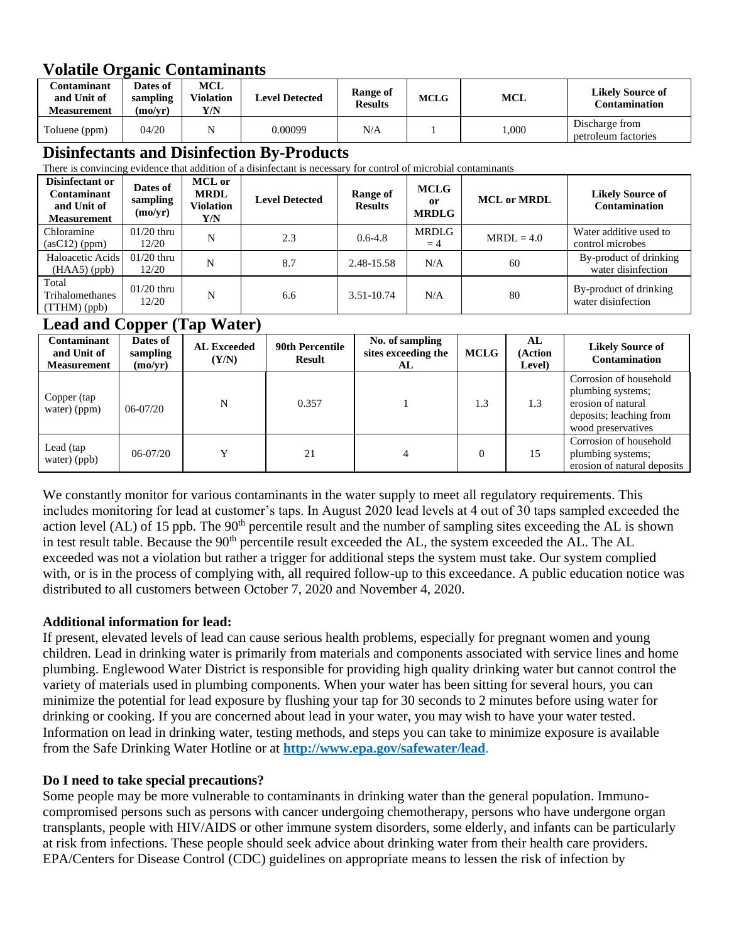# **Volatile Organic Contaminants**

| C <b>ontaminant</b><br>and Unit of<br><b>Measurement</b> | Dates of<br>sampling<br>(mo/vr) | <b>MCL</b><br><b>Violation</b><br>Y/N | <b>Level Detected</b> | Range of<br><b>MCLG</b><br><b>MCL</b><br>Results |  |           | <b>Likely Source of</b><br><b>Contamination</b> |
|----------------------------------------------------------|---------------------------------|---------------------------------------|-----------------------|--------------------------------------------------|--|-----------|-------------------------------------------------|
| Toluene (ppm)                                            | 04/20                           |                                       | 0.00099               | N/A                                              |  | $1{,}000$ | Discharge from<br>petroleum factories           |

# **Disinfectants and Disinfection By-Products**

There is convincing evidence that addition of a disinfectant is necessary for control of microbial contaminants

| Disinfectant or<br><b>Contaminant</b><br>and Unit of<br><b>Measurement</b> | Dates of<br>sampling<br>(mo/yr) | <b>MCL</b> or<br><b>MRDL</b><br><b>Violation</b><br>Y/N | <b>Level Detected</b> | Range of<br><b>Results</b> | <b>MCLG</b><br>or<br><b>MRDLG</b> | <b>MCL</b> or <b>MRDL</b> | <b>Likely Source of</b><br><b>Contamination</b> |
|----------------------------------------------------------------------------|---------------------------------|---------------------------------------------------------|-----------------------|----------------------------|-----------------------------------|---------------------------|-------------------------------------------------|
| Chloramine<br>$(asC12)$ (ppm)                                              | $01/20$ thru<br>12/20           | N                                                       | 2.3                   | $0.6 - 4.8$                | <b>MRDLG</b><br>$=4$              | $MRDL = 4.0$              | Water additive used to<br>control microbes      |
| Haloacetic Acids<br>$(HAA5)$ (ppb)                                         | $01/20$ thru<br>12/20           | N                                                       | 8.7                   | 2.48-15.58                 | N/A                               | 60                        | By-product of drinking<br>water disinfection    |
| Total<br>Trihalomethanes<br>$(TTHM)$ (ppb)                                 | $01/20$ thru<br>12/20           | N                                                       | 6.6                   | 3.51-10.74                 | N/A                               | 80                        | By-product of drinking<br>water disinfection    |

# **Lead and Copper (Tap Water)**

| Contaminant<br>and Unit of<br><b>Measurement</b> | . .<br>Dates of<br>sampling<br>(mo/yr) | <b>AL Exceeded</b><br>(Y/N) | <b>90th Percentile</b><br><b>Result</b> | No. of sampling<br>sites exceeding the<br>AL | <b>MCLG</b> | AL<br>(Action<br>Level) | <b>Likely Source of</b><br><b>Contamination</b>                                                                    |
|--------------------------------------------------|----------------------------------------|-----------------------------|-----------------------------------------|----------------------------------------------|-------------|-------------------------|--------------------------------------------------------------------------------------------------------------------|
| Copper (tap<br>water) (ppm)                      | $06 - 07/20$                           | N                           | 0.357                                   |                                              | 1.3         | 1.3                     | Corrosion of household<br>plumbing systems;<br>erosion of natural<br>deposits; leaching from<br>wood preservatives |
| Lead (tap<br>water) (ppb)                        | $06 - 07/20$                           |                             | 21                                      | 4                                            | $\Omega$    | 15                      | Corrosion of household<br>plumbing systems;<br>erosion of natural deposits                                         |

We constantly monitor for various contaminants in the water supply to meet all regulatory requirements. This includes monitoring for lead at customer's taps. In August 2020 lead levels at 4 out of 30 taps sampled exceeded the action level (AL) of 15 ppb. The  $90<sup>th</sup>$  percentile result and the number of sampling sites exceeding the AL is shown in test result table. Because the 90<sup>th</sup> percentile result exceeded the AL, the system exceeded the AL. The AL exceeded was not a violation but rather a trigger for additional steps the system must take. Our system complied with, or is in the process of complying with, all required follow-up to this exceedance. A public education notice was distributed to all customers between October 7, 2020 and November 4, 2020.

# **Additional information for lead:**

If present, elevated levels of lead can cause serious health problems, especially for pregnant women and young children. Lead in drinking water is primarily from materials and components associated with service lines and home plumbing. Englewood Water District is responsible for providing high quality drinking water but cannot control the variety of materials used in plumbing components. When your water has been sitting for several hours, you can minimize the potential for lead exposure by flushing your tap for 30 seconds to 2 minutes before using water for drinking or cooking. If you are concerned about lead in your water, you may wish to have your water tested. Information on lead in drinking water, testing methods, and steps you can take to minimize exposure is available from the Safe Drinking Water Hotline or at **<http://www.epa.gov/safewater/lead>**.

# **Do I need to take special precautions?**

Some people may be more vulnerable to contaminants in drinking water than the general population. Immunocompromised persons such as persons with cancer undergoing chemotherapy, persons who have undergone organ transplants, people with HIV/AIDS or other immune system disorders, some elderly, and infants can be particularly at risk from infections. These people should seek advice about drinking water from their health care providers. EPA/Centers for Disease Control (CDC) guidelines on appropriate means to lessen the risk of infection by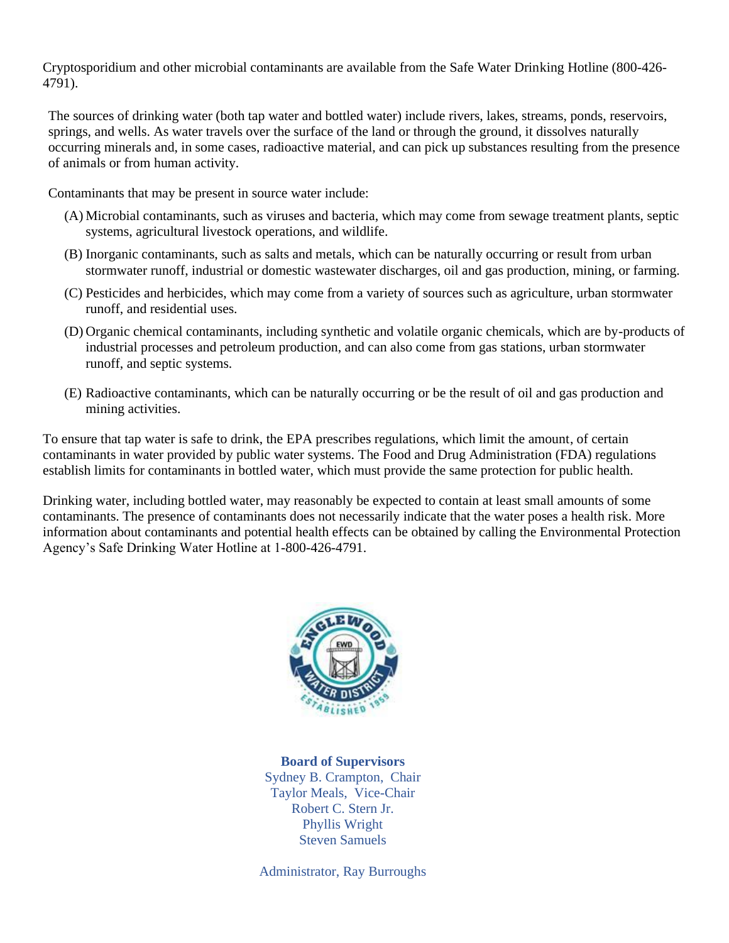Cryptosporidium and other microbial contaminants are available from the Safe Water Drinking Hotline (800-426- 4791).

The sources of drinking water (both tap water and bottled water) include rivers, lakes, streams, ponds, reservoirs, springs, and wells. As water travels over the surface of the land or through the ground, it dissolves naturally occurring minerals and, in some cases, radioactive material, and can pick up substances resulting from the presence of animals or from human activity.

Contaminants that may be present in source water include:

- (A) Microbial contaminants, such as viruses and bacteria, which may come from sewage treatment plants, septic systems, agricultural livestock operations, and wildlife.
- (B) Inorganic contaminants, such as salts and metals, which can be naturally occurring or result from urban stormwater runoff, industrial or domestic wastewater discharges, oil and gas production, mining, or farming.
- (C) Pesticides and herbicides, which may come from a variety of sources such as agriculture, urban stormwater runoff, and residential uses.
- (D) Organic chemical contaminants, including synthetic and volatile organic chemicals, which are by-products of industrial processes and petroleum production, and can also come from gas stations, urban stormwater runoff, and septic systems.
- (E) Radioactive contaminants, which can be naturally occurring or be the result of oil and gas production and mining activities.

To ensure that tap water is safe to drink, the EPA prescribes regulations, which limit the amount, of certain contaminants in water provided by public water systems. The Food and Drug Administration (FDA) regulations establish limits for contaminants in bottled water, which must provide the same protection for public health.

Drinking water, including bottled water, may reasonably be expected to contain at least small amounts of some contaminants. The presence of contaminants does not necessarily indicate that the water poses a health risk. More information about contaminants and potential health effects can be obtained by calling the Environmental Protection Agency's Safe Drinking Water Hotline at 1-800-426-4791.



**Board of Supervisors** Sydney B. Crampton, Chair Taylor Meals, Vice-Chair Robert C. Stern Jr. Phyllis Wright Steven Samuels

Administrator, Ray Burroughs